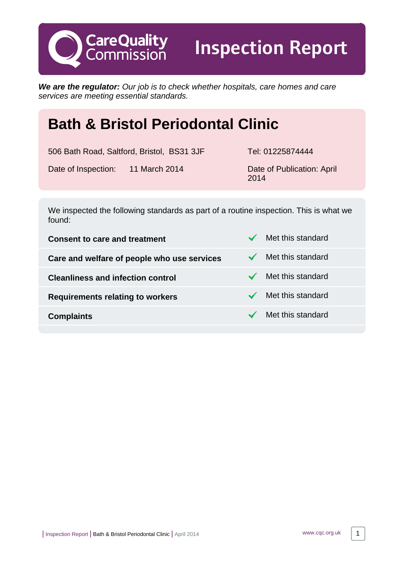**We are the regulator:** Our job is to check whether hospitals, care homes and care services are meeting essential standards.

# **Bath & Bristol Periodontal Clinic**

506 Bath Road, Saltford, Bristol, BS31 3JF Tel: 01225874444

**CareQuality**<br>Commission

Inspection Report

Date of Inspection: 11 March 2014 Date of Publication: April

2014

We inspected the following standards as part of a routine inspection. This is what we found:

**Consent to care and treatment** Met this standard **Care and welfare of people who use services**  $\checkmark$  **Met this standard Cleanliness and infection control Weight Cleanliness and infection control Requirements relating to workers** Met this standard **Complaints** Met this standard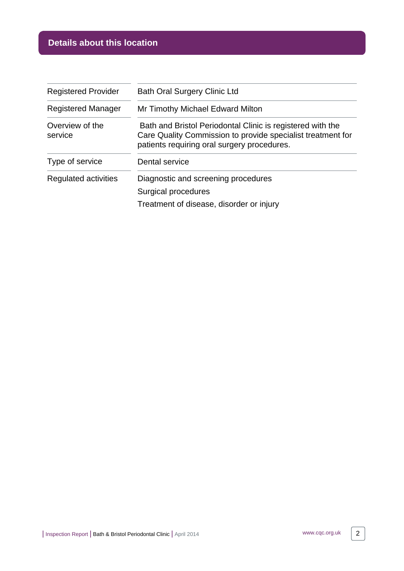# **Details about this location**

| <b>Registered Provider</b> | <b>Bath Oral Surgery Clinic Ltd</b>                                                                                                                                      |
|----------------------------|--------------------------------------------------------------------------------------------------------------------------------------------------------------------------|
| <b>Registered Manager</b>  | Mr Timothy Michael Edward Milton                                                                                                                                         |
| Overview of the<br>service | Bath and Bristol Periodontal Clinic is registered with the<br>Care Quality Commission to provide specialist treatment for<br>patients requiring oral surgery procedures. |
| Type of service            | Dental service                                                                                                                                                           |
| Regulated activities       | Diagnostic and screening procedures                                                                                                                                      |
|                            | Surgical procedures                                                                                                                                                      |
|                            | Treatment of disease, disorder or injury                                                                                                                                 |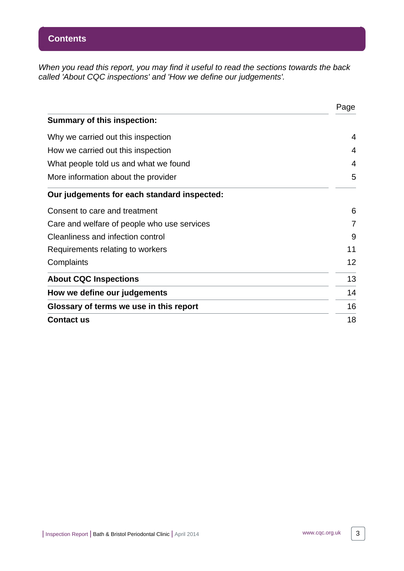When you read this report, you may find it useful to read the sections towards the back called 'About CQC inspections' and 'How we define our judgements'.

|                                             | Page |
|---------------------------------------------|------|
| <b>Summary of this inspection:</b>          |      |
| Why we carried out this inspection          | 4    |
| How we carried out this inspection          | 4    |
| What people told us and what we found       | 4    |
| More information about the provider         | 5    |
| Our judgements for each standard inspected: |      |
| Consent to care and treatment               | 6    |
| Care and welfare of people who use services | 7    |
| Cleanliness and infection control           | 9    |
| Requirements relating to workers            | 11   |
| Complaints                                  | 12   |
| <b>About CQC Inspections</b>                | 13   |
| How we define our judgements                | 14   |
| Glossary of terms we use in this report     | 16   |
| <b>Contact us</b>                           | 18   |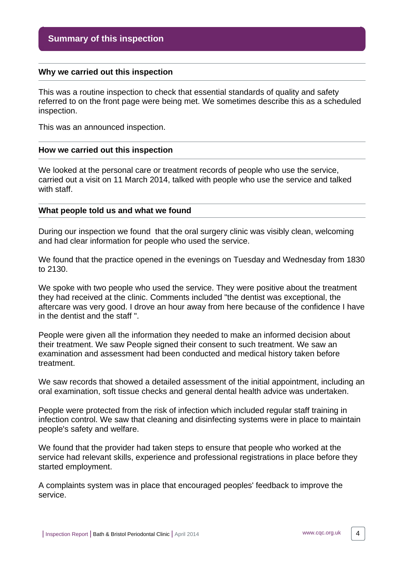#### <span id="page-3-0"></span>**Why we carried out this inspection**

This was a routine inspection to check that essential standards of quality and safety referred to on the front page were being met. We sometimes describe this as a scheduled inspection.

This was an announced inspection.

#### <span id="page-3-1"></span>**How we carried out this inspection**

We looked at the personal care or treatment records of people who use the service, carried out a visit on 11 March 2014, talked with people who use the service and talked with staff.

#### <span id="page-3-2"></span>**What people told us and what we found**

During our inspection we found that the oral surgery clinic was visibly clean, welcoming and had clear information for people who used the service.

We found that the practice opened in the evenings on Tuesday and Wednesday from 1830 to 2130.

We spoke with two people who used the service. They were positive about the treatment they had received at the clinic. Comments included "the dentist was exceptional, the aftercare was very good. I drove an hour away from here because of the confidence I have in the dentist and the staff ".

People were given all the information they needed to make an informed decision about their treatment. We saw People signed their consent to such treatment. We saw an examination and assessment had been conducted and medical history taken before treatment.

We saw records that showed a detailed assessment of the initial appointment, including an oral examination, soft tissue checks and general dental health advice was undertaken.

People were protected from the risk of infection which included regular staff training in infection control. We saw that cleaning and disinfecting systems were in place to maintain people's safety and welfare.

We found that the provider had taken steps to ensure that people who worked at the service had relevant skills, experience and professional registrations in place before they started employment.

A complaints system was in place that encouraged peoples' feedback to improve the service.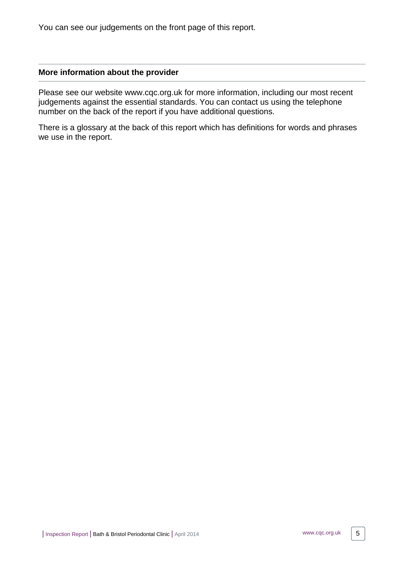You can see our judgements on the front page of this report.

#### <span id="page-4-0"></span>**More information about the provider**

Please see our website www.cqc.org.uk for more information, including our most recent judgements against the essential standards. You can contact us using the telephone number on the back of the report if you have additional questions.

There is a glossary at the back of this report which has definitions for words and phrases we use in the report.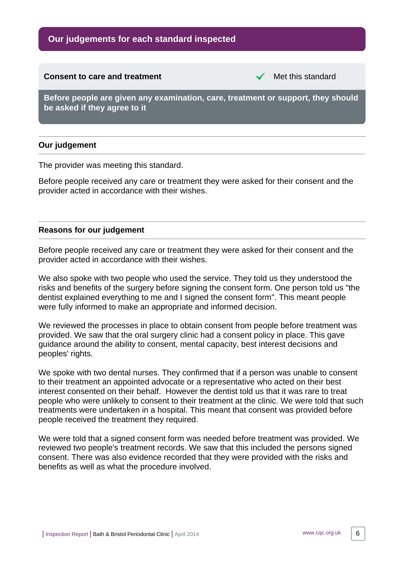# **Our judgements for each standard inspected**

# <span id="page-5-0"></span>**Consent to care and treatment** Met this standard **Before people are given any examination, care, treatment or support, they should be asked if they agree to it**

#### **Our judgement**

The provider was meeting this standard.

Before people received any care or treatment they were asked for their consent and the provider acted in accordance with their wishes.

#### **Reasons for our judgement**

Before people received any care or treatment they were asked for their consent and the provider acted in accordance with their wishes.

We also spoke with two people who used the service. They told us they understood the risks and benefits of the surgery before signing the consent form. One person told us "the dentist explained everything to me and I signed the consent form". This meant people were fully informed to make an appropriate and informed decision.

We reviewed the processes in place to obtain consent from people before treatment was provided. We saw that the oral surgery clinic had a consent policy in place. This gave guidance around the ability to consent, mental capacity, best interest decisions and peoples' rights.

We spoke with two dental nurses. They confirmed that if a person was unable to consent to their treatment an appointed advocate or a representative who acted on their best interest consented on their behalf. However the dentist told us that it was rare to treat people who were unlikely to consent to their treatment at the clinic. We were told that such treatments were undertaken in a hospital. This meant that consent was provided before people received the treatment they required.

We were told that a signed consent form was needed before treatment was provided. We reviewed two people's treatment records. We saw that this included the persons signed consent. There was also evidence recorded that they were provided with the risks and benefits as well as what the procedure involved.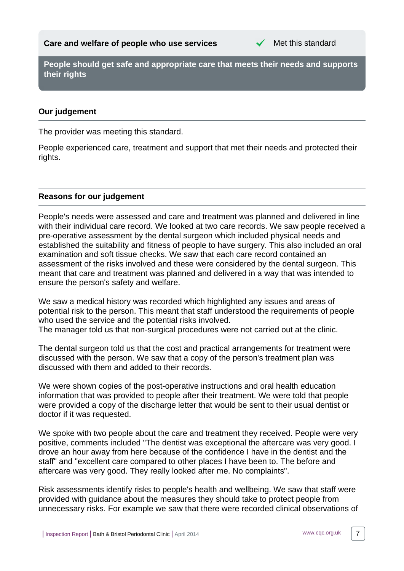

<span id="page-6-0"></span>**People should get safe and appropriate care that meets their needs and supports their rights**

#### **Our judgement**

The provider was meeting this standard.

People experienced care, treatment and support that met their needs and protected their rights.

#### **Reasons for our judgement**

People's needs were assessed and care and treatment was planned and delivered in line with their individual care record. We looked at two care records. We saw people received a pre-operative assessment by the dental surgeon which included physical needs and established the suitability and fitness of people to have surgery. This also included an oral examination and soft tissue checks. We saw that each care record contained an assessment of the risks involved and these were considered by the dental surgeon. This meant that care and treatment was planned and delivered in a way that was intended to ensure the person's safety and welfare.

We saw a medical history was recorded which highlighted any issues and areas of potential risk to the person. This meant that staff understood the requirements of people who used the service and the potential risks involved.

The manager told us that non-surgical procedures were not carried out at the clinic.

The dental surgeon told us that the cost and practical arrangements for treatment were discussed with the person. We saw that a copy of the person's treatment plan was discussed with them and added to their records.

We were shown copies of the post-operative instructions and oral health education information that was provided to people after their treatment. We were told that people were provided a copy of the discharge letter that would be sent to their usual dentist or doctor if it was requested.

We spoke with two people about the care and treatment they received. People were very positive, comments included "The dentist was exceptional the aftercare was very good. I drove an hour away from here because of the confidence I have in the dentist and the staff" and "excellent care compared to other places I have been to. The before and aftercare was very good. They really looked after me. No complaints".

Risk assessments identify risks to people's health and wellbeing. We saw that staff were provided with guidance about the measures they should take to protect people from unnecessary risks. For example we saw that there were recorded clinical observations of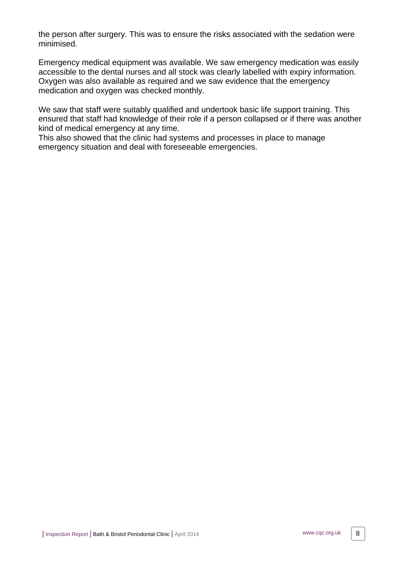the person after surgery. This was to ensure the risks associated with the sedation were minimised.

Emergency medical equipment was available. We saw emergency medication was easily accessible to the dental nurses and all stock was clearly labelled with expiry information. Oxygen was also available as required and we saw evidence that the emergency medication and oxygen was checked monthly.

We saw that staff were suitably qualified and undertook basic life support training. This ensured that staff had knowledge of their role if a person collapsed or if there was another kind of medical emergency at any time.

This also showed that the clinic had systems and processes in place to manage emergency situation and deal with foreseeable emergencies.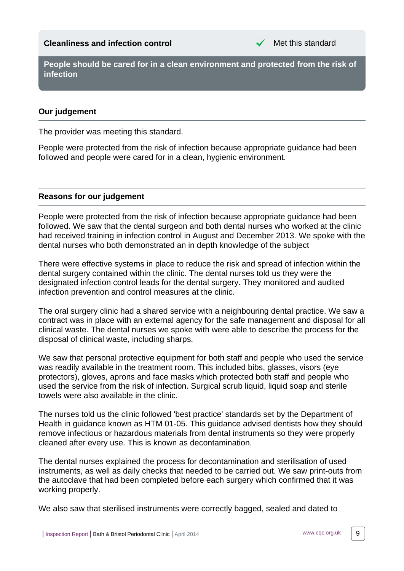### <span id="page-8-0"></span>**Cleanliness and infection control** Met this standard

**People should be cared for in a clean environment and protected from the risk of infection**

#### **Our judgement**

The provider was meeting this standard.

People were protected from the risk of infection because appropriate guidance had been followed and people were cared for in a clean, hygienic environment.

#### **Reasons for our judgement**

People were protected from the risk of infection because appropriate guidance had been followed. We saw that the dental surgeon and both dental nurses who worked at the clinic had received training in infection control in August and December 2013. We spoke with the dental nurses who both demonstrated an in depth knowledge of the subject

There were effective systems in place to reduce the risk and spread of infection within the dental surgery contained within the clinic. The dental nurses told us they were the designated infection control leads for the dental surgery. They monitored and audited infection prevention and control measures at the clinic.

The oral surgery clinic had a shared service with a neighbouring dental practice. We saw a contract was in place with an external agency for the safe management and disposal for all clinical waste. The dental nurses we spoke with were able to describe the process for the disposal of clinical waste, including sharps.

We saw that personal protective equipment for both staff and people who used the service was readily available in the treatment room. This included bibs, glasses, visors (eye protectors), gloves, aprons and face masks which protected both staff and people who used the service from the risk of infection. Surgical scrub liquid, liquid soap and sterile towels were also available in the clinic.

The nurses told us the clinic followed 'best practice' standards set by the Department of Health in guidance known as HTM 01-05. This guidance advised dentists how they should remove infectious or hazardous materials from dental instruments so they were properly cleaned after every use. This is known as decontamination.

The dental nurses explained the process for decontamination and sterilisation of used instruments, as well as daily checks that needed to be carried out. We saw print-outs from the autoclave that had been completed before each surgery which confirmed that it was working properly.

We also saw that sterilised instruments were correctly bagged, sealed and dated to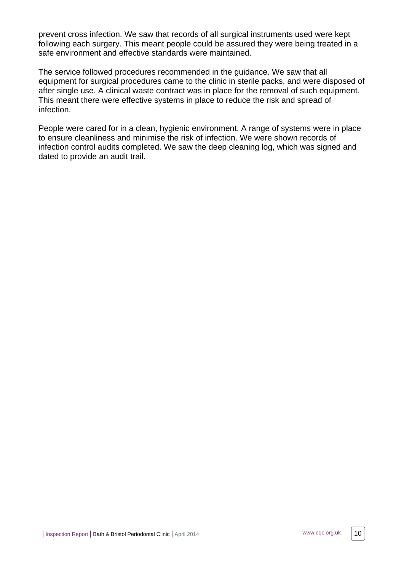prevent cross infection. We saw that records of all surgical instruments used were kept following each surgery. This meant people could be assured they were being treated in a safe environment and effective standards were maintained.

The service followed procedures recommended in the guidance. We saw that all equipment for surgical procedures came to the clinic in sterile packs, and were disposed of after single use. A clinical waste contract was in place for the removal of such equipment. This meant there were effective systems in place to reduce the risk and spread of infection.

People were cared for in a clean, hygienic environment. A range of systems were in place to ensure cleanliness and minimise the risk of infection. We were shown records of infection control audits completed. We saw the deep cleaning log, which was signed and dated to provide an audit trail.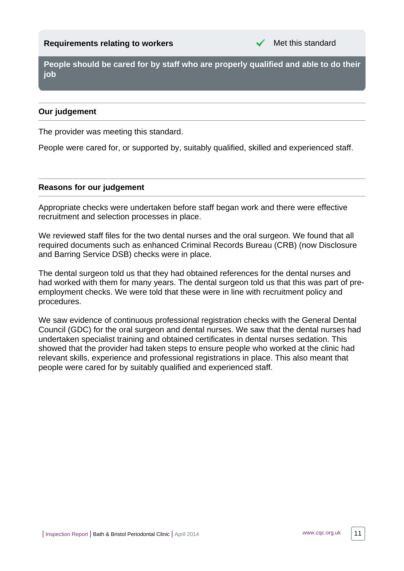<span id="page-10-0"></span>**People should be cared for by staff who are properly qualified and able to do their job**

### **Our judgement**

The provider was meeting this standard.

People were cared for, or supported by, suitably qualified, skilled and experienced staff.

#### **Reasons for our judgement**

Appropriate checks were undertaken before staff began work and there were effective recruitment and selection processes in place.

We reviewed staff files for the two dental nurses and the oral surgeon. We found that all required documents such as enhanced Criminal Records Bureau (CRB) (now Disclosure and Barring Service DSB) checks were in place.

The dental surgeon told us that they had obtained references for the dental nurses and had worked with them for many years. The dental surgeon told us that this was part of preemployment checks. We were told that these were in line with recruitment policy and procedures.

We saw evidence of continuous professional registration checks with the General Dental Council (GDC) for the oral surgeon and dental nurses. We saw that the dental nurses had undertaken specialist training and obtained certificates in dental nurses sedation. This showed that the provider had taken steps to ensure people who worked at the clinic had relevant skills, experience and professional registrations in place. This also meant that people were cared for by suitably qualified and experienced staff.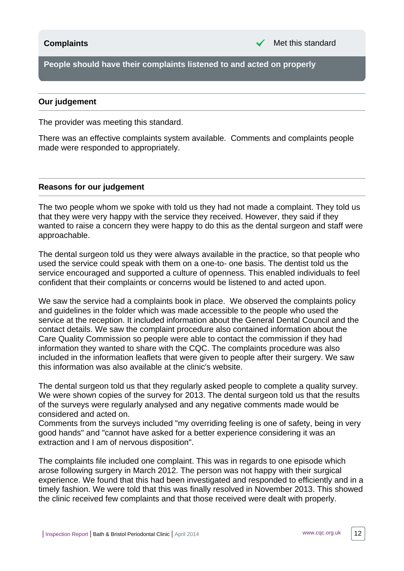<span id="page-11-0"></span>**People should have their complaints listened to and acted on properly**

#### **Our judgement**

The provider was meeting this standard.

There was an effective complaints system available. Comments and complaints people made were responded to appropriately.

#### **Reasons for our judgement**

The two people whom we spoke with told us they had not made a complaint. They told us that they were very happy with the service they received. However, they said if they wanted to raise a concern they were happy to do this as the dental surgeon and staff were approachable.

The dental surgeon told us they were always available in the practice, so that people who used the service could speak with them on a one-to- one basis. The dentist told us the service encouraged and supported a culture of openness. This enabled individuals to feel confident that their complaints or concerns would be listened to and acted upon.

We saw the service had a complaints book in place. We observed the complaints policy and guidelines in the folder which was made accessible to the people who used the service at the reception. It included information about the General Dental Council and the contact details. We saw the complaint procedure also contained information about the Care Quality Commission so people were able to contact the commission if they had information they wanted to share with the CQC. The complaints procedure was also included in the information leaflets that were given to people after their surgery. We saw this information was also available at the clinic's website.

The dental surgeon told us that they regularly asked people to complete a quality survey. We were shown copies of the survey for 2013. The dental surgeon told us that the results of the surveys were regularly analysed and any negative comments made would be considered and acted on.

Comments from the surveys included "my overriding feeling is one of safety, being in very good hands" and "cannot have asked for a better experience considering it was an extraction and I am of nervous disposition".

The complaints file included one complaint. This was in regards to one episode which arose following surgery in March 2012. The person was not happy with their surgical experience. We found that this had been investigated and responded to efficiently and in a timely fashion. We were told that this was finally resolved in November 2013. This showed the clinic received few complaints and that those received were dealt with properly.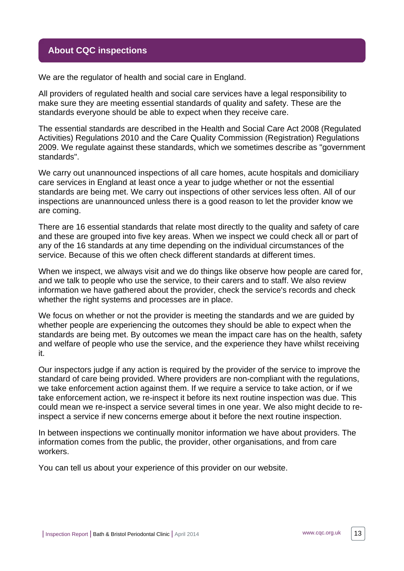### <span id="page-12-0"></span>**About CQC inspections**

We are the regulator of health and social care in England.

All providers of regulated health and social care services have a legal responsibility to make sure they are meeting essential standards of quality and safety. These are the standards everyone should be able to expect when they receive care.

The essential standards are described in the Health and Social Care Act 2008 (Regulated Activities) Regulations 2010 and the Care Quality Commission (Registration) Regulations 2009. We regulate against these standards, which we sometimes describe as "government standards".

We carry out unannounced inspections of all care homes, acute hospitals and domiciliary care services in England at least once a year to judge whether or not the essential standards are being met. We carry out inspections of other services less often. All of our inspections are unannounced unless there is a good reason to let the provider know we are coming.

There are 16 essential standards that relate most directly to the quality and safety of care and these are grouped into five key areas. When we inspect we could check all or part of any of the 16 standards at any time depending on the individual circumstances of the service. Because of this we often check different standards at different times.

When we inspect, we always visit and we do things like observe how people are cared for, and we talk to people who use the service, to their carers and to staff. We also review information we have gathered about the provider, check the service's records and check whether the right systems and processes are in place.

We focus on whether or not the provider is meeting the standards and we are guided by whether people are experiencing the outcomes they should be able to expect when the standards are being met. By outcomes we mean the impact care has on the health, safety and welfare of people who use the service, and the experience they have whilst receiving it.

Our inspectors judge if any action is required by the provider of the service to improve the standard of care being provided. Where providers are non-compliant with the regulations, we take enforcement action against them. If we require a service to take action, or if we take enforcement action, we re-inspect it before its next routine inspection was due. This could mean we re-inspect a service several times in one year. We also might decide to reinspect a service if new concerns emerge about it before the next routine inspection.

In between inspections we continually monitor information we have about providers. The information comes from the public, the provider, other organisations, and from care workers.

You can tell us about your experience of this provider on our website.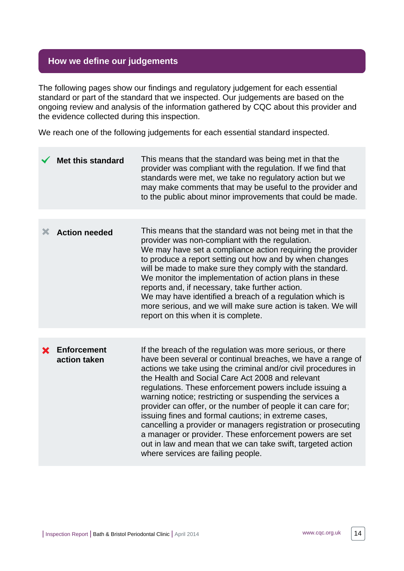# <span id="page-13-0"></span>**How we define our judgements**

The following pages show our findings and regulatory judgement for each essential standard or part of the standard that we inspected. Our judgements are based on the ongoing review and analysis of the information gathered by CQC about this provider and the evidence collected during this inspection.

We reach one of the following judgements for each essential standard inspected.

|   | <b>Met this standard</b>           | This means that the standard was being met in that the<br>provider was compliant with the regulation. If we find that<br>standards were met, we take no regulatory action but we<br>may make comments that may be useful to the provider and<br>to the public about minor improvements that could be made.                                                                                                                                                                                                                                                                                                                                                                                                                     |
|---|------------------------------------|--------------------------------------------------------------------------------------------------------------------------------------------------------------------------------------------------------------------------------------------------------------------------------------------------------------------------------------------------------------------------------------------------------------------------------------------------------------------------------------------------------------------------------------------------------------------------------------------------------------------------------------------------------------------------------------------------------------------------------|
|   |                                    |                                                                                                                                                                                                                                                                                                                                                                                                                                                                                                                                                                                                                                                                                                                                |
| Х | <b>Action needed</b>               | This means that the standard was not being met in that the<br>provider was non-compliant with the regulation.<br>We may have set a compliance action requiring the provider<br>to produce a report setting out how and by when changes<br>will be made to make sure they comply with the standard.<br>We monitor the implementation of action plans in these<br>reports and, if necessary, take further action.<br>We may have identified a breach of a regulation which is<br>more serious, and we will make sure action is taken. We will<br>report on this when it is complete.                                                                                                                                             |
|   |                                    |                                                                                                                                                                                                                                                                                                                                                                                                                                                                                                                                                                                                                                                                                                                                |
|   | <b>Enforcement</b><br>action taken | If the breach of the regulation was more serious, or there<br>have been several or continual breaches, we have a range of<br>actions we take using the criminal and/or civil procedures in<br>the Health and Social Care Act 2008 and relevant<br>regulations. These enforcement powers include issuing a<br>warning notice; restricting or suspending the services a<br>provider can offer, or the number of people it can care for;<br>issuing fines and formal cautions; in extreme cases,<br>cancelling a provider or managers registration or prosecuting<br>a manager or provider. These enforcement powers are set<br>out in law and mean that we can take swift, targeted action<br>where services are failing people. |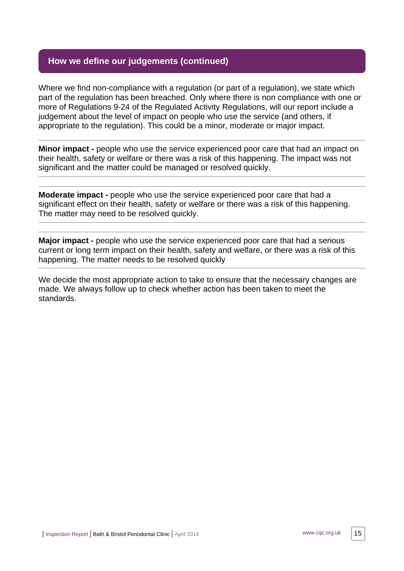# **How we define our judgements (continued)**

Where we find non-compliance with a regulation (or part of a regulation), we state which part of the regulation has been breached. Only where there is non compliance with one or more of Regulations 9-24 of the Regulated Activity Regulations, will our report include a judgement about the level of impact on people who use the service (and others, if appropriate to the regulation). This could be a minor, moderate or major impact.

**Minor impact -** people who use the service experienced poor care that had an impact on their health, safety or welfare or there was a risk of this happening. The impact was not significant and the matter could be managed or resolved quickly.

**Moderate impact -** people who use the service experienced poor care that had a significant effect on their health, safety or welfare or there was a risk of this happening. The matter may need to be resolved quickly.

**Major impact -** people who use the service experienced poor care that had a serious current or long term impact on their health, safety and welfare, or there was a risk of this happening. The matter needs to be resolved quickly

We decide the most appropriate action to take to ensure that the necessary changes are made. We always follow up to check whether action has been taken to meet the standards.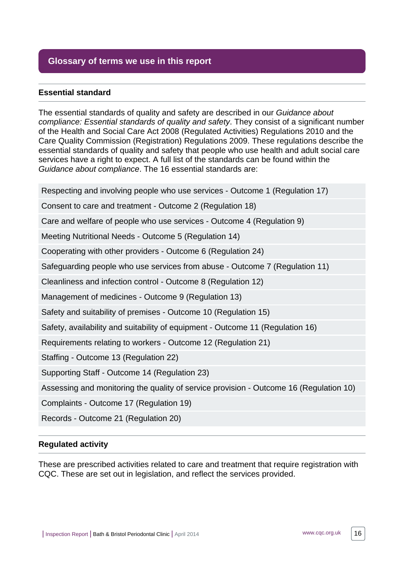# <span id="page-15-0"></span>**Glossary of terms we use in this report**

#### **Essential standard**

The essential standards of quality and safety are described in our Guidance about compliance: Essential standards of quality and safety. They consist of a significant number of the Health and Social Care Act 2008 (Regulated Activities) Regulations 2010 and the Care Quality Commission (Registration) Regulations 2009. These regulations describe the essential standards of quality and safety that people who use health and adult social care services have a right to expect. A full list of the standards can be found within the Guidance about compliance. The 16 essential standards are:

Respecting and involving people who use services - Outcome 1 (Regulation 17)

Consent to care and treatment - Outcome 2 (Regulation 18)

Care and welfare of people who use services - Outcome 4 (Regulation 9)

Meeting Nutritional Needs - Outcome 5 (Regulation 14)

Cooperating with other providers - Outcome 6 (Regulation 24)

Safeguarding people who use services from abuse - Outcome 7 (Regulation 11)

Cleanliness and infection control - Outcome 8 (Regulation 12)

Management of medicines - Outcome 9 (Regulation 13)

Safety and suitability of premises - Outcome 10 (Regulation 15)

Safety, availability and suitability of equipment - Outcome 11 (Regulation 16)

Requirements relating to workers - Outcome 12 (Regulation 21)

Staffing - Outcome 13 (Regulation 22)

Supporting Staff - Outcome 14 (Regulation 23)

Assessing and monitoring the quality of service provision - Outcome 16 (Regulation 10)

Complaints - Outcome 17 (Regulation 19)

Records - Outcome 21 (Regulation 20)

#### **Regulated activity**

These are prescribed activities related to care and treatment that require registration with CQC. These are set out in legislation, and reflect the services provided.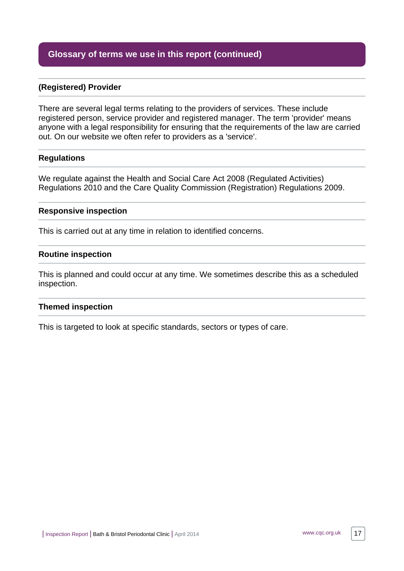## **Glossary of terms we use in this report (continued)**

#### **(Registered) Provider**

There are several legal terms relating to the providers of services. These include registered person, service provider and registered manager. The term 'provider' means anyone with a legal responsibility for ensuring that the requirements of the law are carried out. On our website we often refer to providers as a 'service'.

#### **Regulations**

We regulate against the Health and Social Care Act 2008 (Regulated Activities) Regulations 2010 and the Care Quality Commission (Registration) Regulations 2009.

#### **Responsive inspection**

This is carried out at any time in relation to identified concerns.

#### **Routine inspection**

This is planned and could occur at any time. We sometimes describe this as a scheduled inspection.

#### **Themed inspection**

This is targeted to look at specific standards, sectors or types of care.